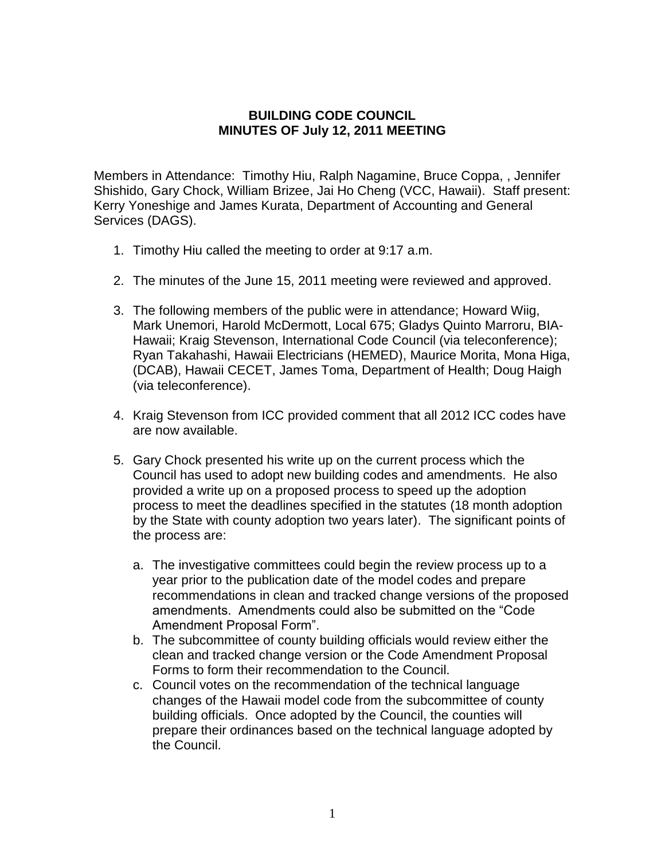## **BUILDING CODE COUNCIL MINUTES OF July 12, 2011 MEETING**

Members in Attendance: Timothy Hiu, Ralph Nagamine, Bruce Coppa, , Jennifer Shishido, Gary Chock, William Brizee, Jai Ho Cheng (VCC, Hawaii). Staff present: Kerry Yoneshige and James Kurata, Department of Accounting and General Services (DAGS).

- 1. Timothy Hiu called the meeting to order at 9:17 a.m.
- 2. The minutes of the June 15, 2011 meeting were reviewed and approved.
- 3. The following members of the public were in attendance; Howard Wiig, Mark Unemori, Harold McDermott, Local 675; Gladys Quinto Marroru, BIA-Hawaii; Kraig Stevenson, International Code Council (via teleconference); Ryan Takahashi, Hawaii Electricians (HEMED), Maurice Morita, Mona Higa, (DCAB), Hawaii CECET, James Toma, Department of Health; Doug Haigh (via teleconference).
- 4. Kraig Stevenson from ICC provided comment that all 2012 ICC codes have are now available.
- 5. Gary Chock presented his write up on the current process which the Council has used to adopt new building codes and amendments. He also provided a write up on a proposed process to speed up the adoption process to meet the deadlines specified in the statutes (18 month adoption by the State with county adoption two years later). The significant points of the process are:
	- a. The investigative committees could begin the review process up to a year prior to the publication date of the model codes and prepare recommendations in clean and tracked change versions of the proposed amendments. Amendments could also be submitted on the "Code Amendment Proposal Form".
	- b. The subcommittee of county building officials would review either the clean and tracked change version or the Code Amendment Proposal Forms to form their recommendation to the Council.
	- c. Council votes on the recommendation of the technical language changes of the Hawaii model code from the subcommittee of county building officials. Once adopted by the Council, the counties will prepare their ordinances based on the technical language adopted by the Council.